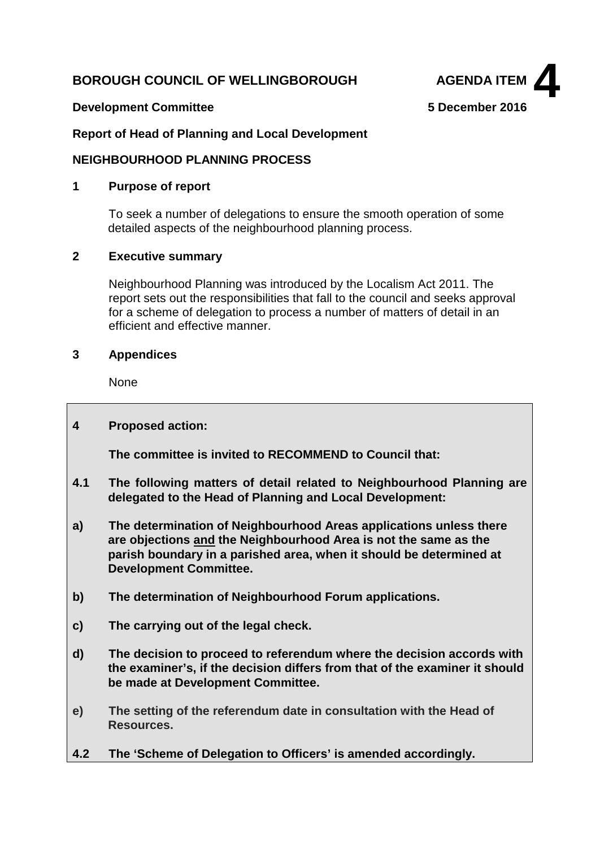# **BOROUGH COUNCIL OF WELLINGBOROUGH AGENDA ITEM**





#### **Report of Head of Planning and Local Development**

#### **NEIGHBOURHOOD PLANNING PROCESS**

#### **1 Purpose of report**

To seek a number of delegations to ensure the smooth operation of some detailed aspects of the neighbourhood planning process.

# **2 Executive summary**

Neighbourhood Planning was introduced by the Localism Act 2011. The report sets out the responsibilities that fall to the council and seeks approval for a scheme of delegation to process a number of matters of detail in an efficient and effective manner.

#### **3 Appendices**

None

# **4 Proposed action:**

**The committee is invited to RECOMMEND to Council that:**

- **4.1 The following matters of detail related to Neighbourhood Planning are delegated to the Head of Planning and Local Development:**
- **a) The determination of Neighbourhood Areas applications unless there are objections and the Neighbourhood Area is not the same as the parish boundary in a parished area, when it should be determined at Development Committee.**
- **b) The determination of Neighbourhood Forum applications.**
- **c) The carrying out of the legal check.**
- **d) The decision to proceed to referendum where the decision accords with the examiner's, if the decision differs from that of the examiner it should be made at Development Committee.**
- **e) The setting of the referendum date in consultation with the Head of Resources.**
- **4.2 The 'Scheme of Delegation to Officers' is amended accordingly.**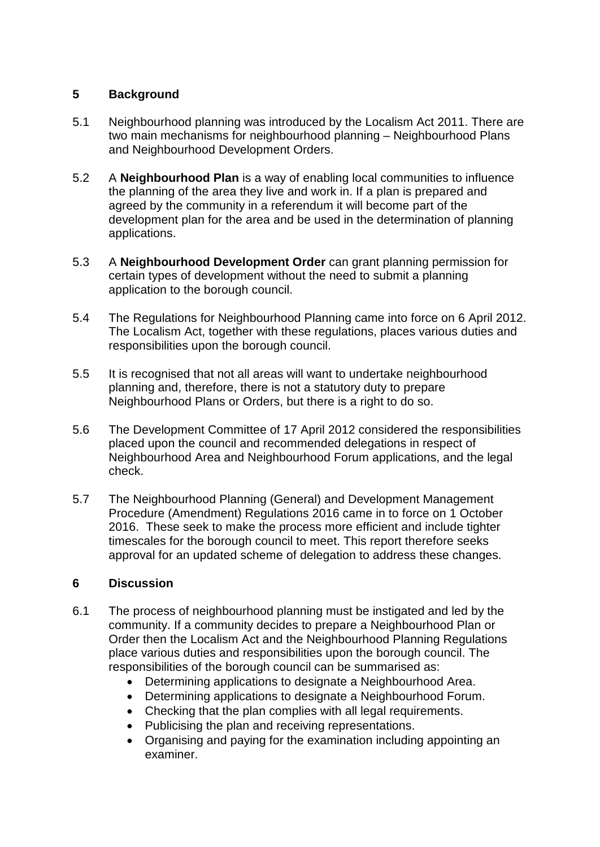# **5 Background**

- 5.1 Neighbourhood planning was introduced by the Localism Act 2011. There are two main mechanisms for neighbourhood planning – Neighbourhood Plans and Neighbourhood Development Orders.
- 5.2 A **Neighbourhood Plan** is a way of enabling local communities to influence the planning of the area they live and work in. If a plan is prepared and agreed by the community in a referendum it will become part of the development plan for the area and be used in the determination of planning applications.
- 5.3 A **Neighbourhood Development Order** can grant planning permission for certain types of development without the need to submit a planning application to the borough council.
- 5.4 The Regulations for Neighbourhood Planning came into force on 6 April 2012. The Localism Act, together with these regulations, places various duties and responsibilities upon the borough council.
- 5.5 It is recognised that not all areas will want to undertake neighbourhood planning and, therefore, there is not a statutory duty to prepare Neighbourhood Plans or Orders, but there is a right to do so.
- 5.6 The Development Committee of 17 April 2012 considered the responsibilities placed upon the council and recommended delegations in respect of Neighbourhood Area and Neighbourhood Forum applications, and the legal check.
- 5.7 The Neighbourhood Planning (General) and Development Management Procedure (Amendment) Regulations 2016 came in to force on 1 October 2016. These seek to make the process more efficient and include tighter timescales for the borough council to meet. This report therefore seeks approval for an updated scheme of delegation to address these changes.

#### **6 Discussion**

- 6.1 The process of neighbourhood planning must be instigated and led by the community. If a community decides to prepare a Neighbourhood Plan or Order then the Localism Act and the Neighbourhood Planning Regulations place various duties and responsibilities upon the borough council. The responsibilities of the borough council can be summarised as:
	- Determining applications to designate a Neighbourhood Area.
	- Determining applications to designate a Neighbourhood Forum.
	- Checking that the plan complies with all legal requirements.
	- Publicising the plan and receiving representations.
	- Organising and paying for the examination including appointing an examiner.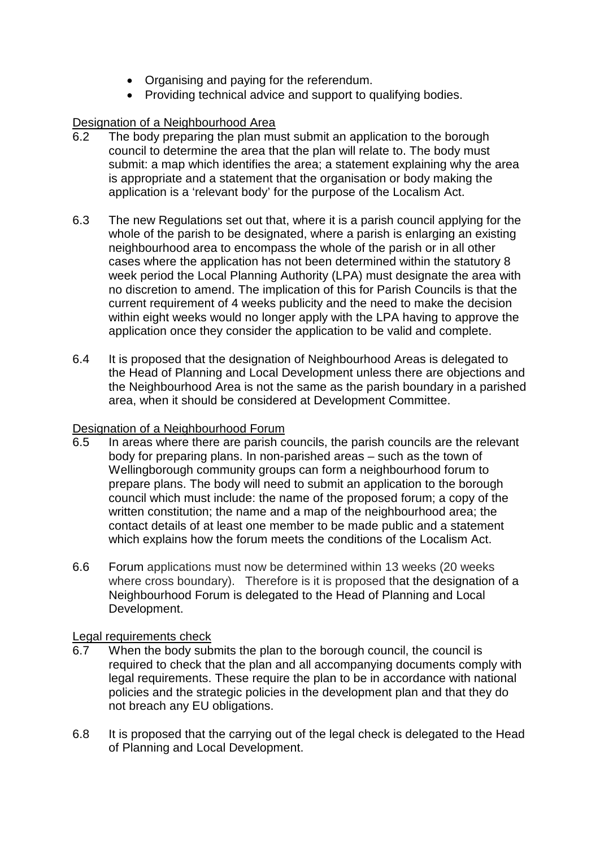- Organising and paying for the referendum.
- Providing technical advice and support to qualifying bodies.

# Designation of a Neighbourhood Area

- 6.2 The body preparing the plan must submit an application to the borough council to determine the area that the plan will relate to. The body must submit: a map which identifies the area; a statement explaining why the area is appropriate and a statement that the organisation or body making the application is a 'relevant body' for the purpose of the Localism Act.
- 6.3 The new Regulations set out that, where it is a parish council applying for the whole of the parish to be designated, where a parish is enlarging an existing neighbourhood area to encompass the whole of the parish or in all other cases where the application has not been determined within the statutory 8 week period the Local Planning Authority (LPA) must designate the area with no discretion to amend. The implication of this for Parish Councils is that the current requirement of 4 weeks publicity and the need to make the decision within eight weeks would no longer apply with the LPA having to approve the application once they consider the application to be valid and complete.
- 6.4 It is proposed that the designation of Neighbourhood Areas is delegated to the Head of Planning and Local Development unless there are objections and the Neighbourhood Area is not the same as the parish boundary in a parished area, when it should be considered at Development Committee.

#### Designation of a Neighbourhood Forum

- 6.5 In areas where there are parish councils, the parish councils are the relevant body for preparing plans. In non-parished areas – such as the town of Wellingborough community groups can form a neighbourhood forum to prepare plans. The body will need to submit an application to the borough council which must include: the name of the proposed forum; a copy of the written constitution; the name and a map of the neighbourhood area; the contact details of at least one member to be made public and a statement which explains how the forum meets the conditions of the Localism Act.
- 6.6 Forum applications must now be determined within 13 weeks (20 weeks where cross boundary). Therefore is it is proposed that the designation of a Neighbourhood Forum is delegated to the Head of Planning and Local Development.

#### Legal requirements check

- 6.7 When the body submits the plan to the borough council, the council is required to check that the plan and all accompanying documents comply with legal requirements. These require the plan to be in accordance with national policies and the strategic policies in the development plan and that they do not breach any EU obligations.
- 6.8 It is proposed that the carrying out of the legal check is delegated to the Head of Planning and Local Development.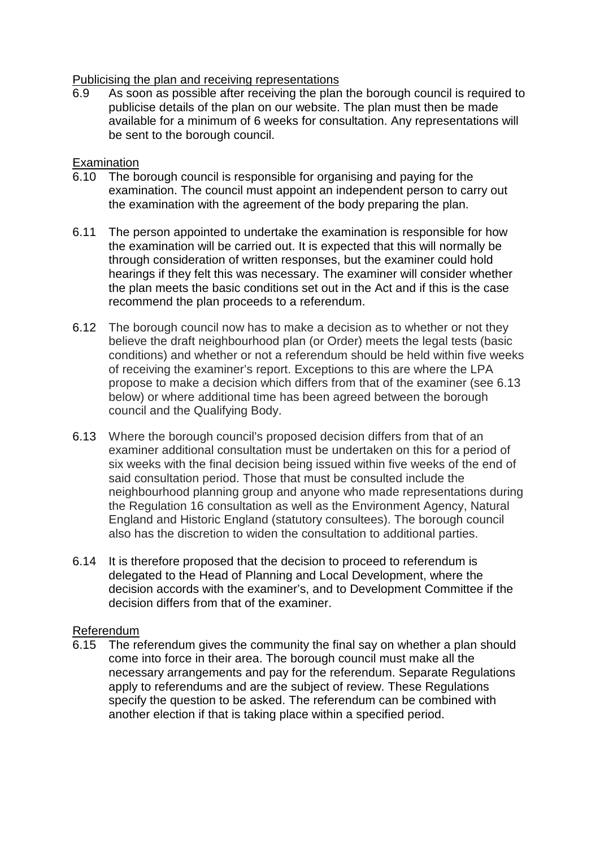# Publicising the plan and receiving representations<br>6.9 As soon as possible after receiving the plan

As soon as possible after receiving the plan the borough council is required to publicise details of the plan on our website. The plan must then be made available for a minimum of 6 weeks for consultation. Any representations will be sent to the borough council.

# **Examination**

- 6.10 The borough council is responsible for organising and paying for the examination. The council must appoint an independent person to carry out the examination with the agreement of the body preparing the plan.
- 6.11 The person appointed to undertake the examination is responsible for how the examination will be carried out. It is expected that this will normally be through consideration of written responses, but the examiner could hold hearings if they felt this was necessary. The examiner will consider whether the plan meets the basic conditions set out in the Act and if this is the case recommend the plan proceeds to a referendum.
- 6.12 The borough council now has to make a decision as to whether or not they believe the draft neighbourhood plan (or Order) meets the legal tests (basic conditions) and whether or not a referendum should be held within five weeks of receiving the examiner's report. Exceptions to this are where the LPA propose to make a decision which differs from that of the examiner (see 6.13 below) or where additional time has been agreed between the borough council and the Qualifying Body.
- 6.13 Where the borough council's proposed decision differs from that of an examiner additional consultation must be undertaken on this for a period of six weeks with the final decision being issued within five weeks of the end of said consultation period. Those that must be consulted include the neighbourhood planning group and anyone who made representations during the Regulation 16 consultation as well as the Environment Agency, Natural England and Historic England (statutory consultees). The borough council also has the discretion to widen the consultation to additional parties.
- 6.14 It is therefore proposed that the decision to proceed to referendum is delegated to the Head of Planning and Local Development, where the decision accords with the examiner's, and to Development Committee if the decision differs from that of the examiner.

#### Referendum

6.15 The referendum gives the community the final say on whether a plan should come into force in their area. The borough council must make all the necessary arrangements and pay for the referendum. Separate Regulations apply to referendums and are the subject of review. These Regulations specify the question to be asked. The referendum can be combined with another election if that is taking place within a specified period.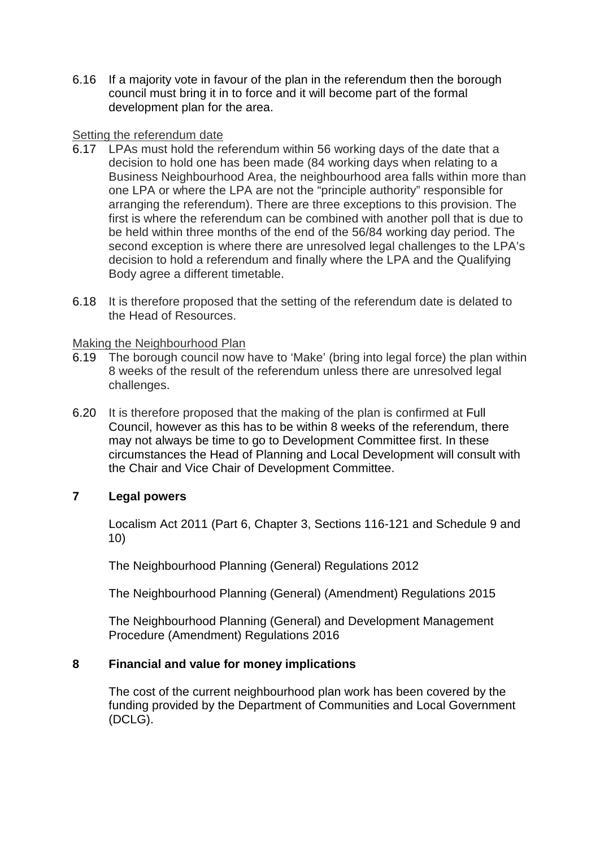6.16 If a majority vote in favour of the plan in the referendum then the borough council must bring it in to force and it will become part of the formal development plan for the area.

#### Setting the referendum date

- 6.17 LPAs must hold the referendum within 56 working days of the date that a decision to hold one has been made (84 working days when relating to a Business Neighbourhood Area, the neighbourhood area falls within more than one LPA or where the LPA are not the "principle authority" responsible for arranging the referendum). There are three exceptions to this provision. The first is where the referendum can be combined with another poll that is due to be held within three months of the end of the 56/84 working day period. The second exception is where there are unresolved legal challenges to the LPA's decision to hold a referendum and finally where the LPA and the Qualifying Body agree a different timetable.
- 6.18 It is therefore proposed that the setting of the referendum date is delated to the Head of Resources.

#### Making the Neighbourhood Plan

- 6.19 The borough council now have to 'Make' (bring into legal force) the plan within 8 weeks of the result of the referendum unless there are unresolved legal challenges.
- 6.20 It is therefore proposed that the making of the plan is confirmed at Full Council, however as this has to be within 8 weeks of the referendum, there may not always be time to go to Development Committee first. In these circumstances the Head of Planning and Local Development will consult with the Chair and Vice Chair of Development Committee.

# **7 Legal powers**

Localism Act 2011 (Part 6, Chapter 3, Sections 116-121 and Schedule 9 and 10)

The Neighbourhood Planning (General) Regulations 2012

The Neighbourhood Planning (General) (Amendment) Regulations 2015

The Neighbourhood Planning (General) and Development Management Procedure (Amendment) Regulations 2016

#### **8 Financial and value for money implications**

The cost of the current neighbourhood plan work has been covered by the funding provided by the Department of Communities and Local Government (DCLG).